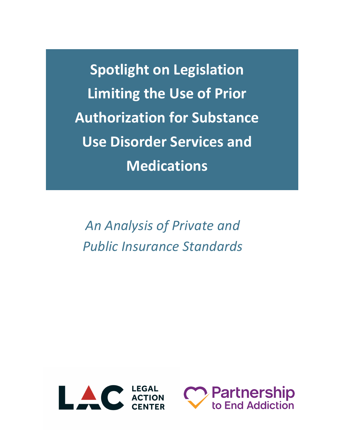**Spotlight on Legislation Limiting the Use of Prior Authorization for Substance Use Disorder Services and Medications**

*An Analysis of Private and Public Insurance Standards*



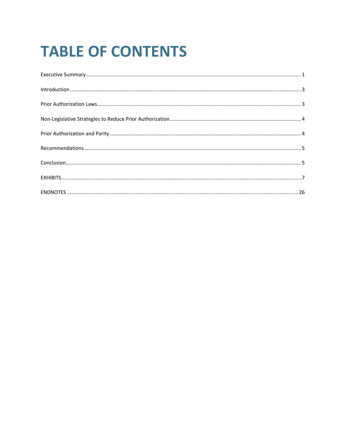# **TABLE OF CONTENTS**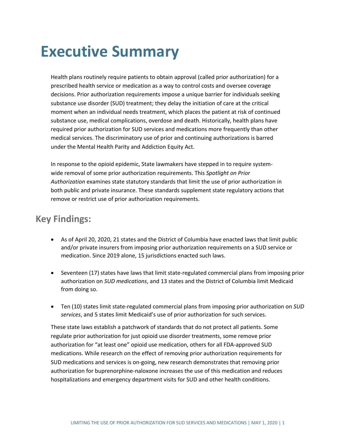## **Executive Summary**

Health plans routinely require patients to obtain approval (called prior authorization) for a prescribed health service or medication as a way to control costs and oversee coverage decisions. Prior authorization requirements impose a unique barrier for individuals seeking substance use disorder (SUD) treatment; they delay the initiation of care at the critical moment when an individual needs treatment, which places the patient at risk of continued substance use, medical complications, overdose and death. Historically, health plans have required prior authorization for SUD services and medications more frequently than other medical services. The discriminatory use of prior and continuing authorizations is barred under the Mental Health Parity and Addiction Equity Act.

In response to the opioid epidemic, State lawmakers have stepped in to require systemwide removal of some prior authorization requirements. This *Spotlight on Prior Authorization* examines state statutory standards that limit the use of prior authorization in both public and private insurance. These standards supplement state regulatory actions that remove or restrict use of prior authorization requirements.

### **Key Findings:**

- As of April 20, 2020, 21 states and the District of Columbia have enacted laws that limit public and/or private insurers from imposing prior authorization requirements on a SUD service or medication. Since 2019 alone, 15 jurisdictions enacted such laws.
- Seventeen (17) states have laws that limit state-regulated commercial plans from imposing prior authorization on *SUD medications*, and 13 states and the District of Columbia limit Medicaid from doing so.
- Ten (10) states limit state-regulated commercial plans from imposing prior authorization on *SUD services*, and 5 states limit Medicaid's use of prior authorization for such services.

These state laws establish a patchwork of standards that do not protect all patients. Some regulate prior authorization for just opioid use disorder treatments, some remove prior authorization for "at least one" opioid use medication, others for all FDA-approved SUD medications. While research on the effect of removing prior authorization requirements for SUD medications and services is on-going, new research demonstrates that removing prior authorization for buprenorphine-naloxone increases the use of this medication and reduces hospitalizations and emergency department visits for SUD and other health conditions.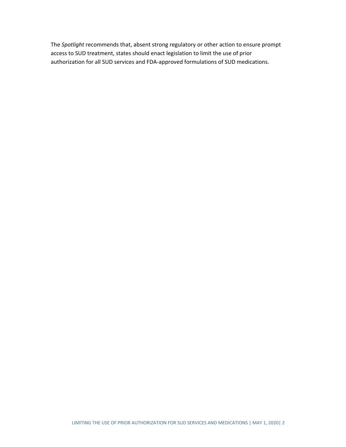The *Spotlight* recommends that, absent strong regulatory or other action to ensure prompt access to SUD treatment, states should enact legislation to limit the use of prior authorization for all SUD services and FDA-approved formulations of SUD medications.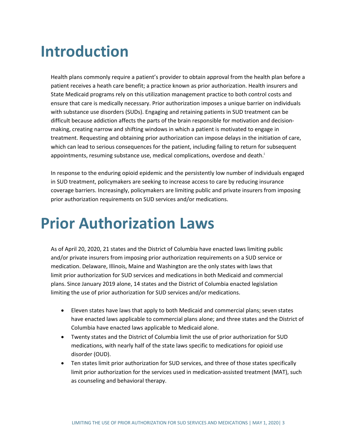## **Introduction**

Health plans commonly require a patient's provider to obtain approval from the health plan before a patient receives a heath care benefit; a practice known as prior authorization. Health insurers and State Medicaid programs rely on this utilization management practice to both control costs and ensure that care is medically necessary. Prior authorization imposes a unique barrier on individuals with substance use disorders (SUDs). Engaging and retaining patients in SUD treatment can be difficult because addiction affects the parts of the brain responsible for motivation and decisionmaking, creating narrow and shifting windows in which a patient is motivated to engage in treatment. Requesting and obtaining prior authorization can impose delays in the initiation of care, which can lead to serious consequences for the patient, including failing to return for subsequent appointments, resuming substance use, medical complications, overdose and death.<sup>i</sup>

In response to the enduring opioid epidemic and the persistently low number of individuals engaged in SUD treatment, policymakers are seeking to increase access to care by reducing insurance coverage barriers. Increasingly, policymakers are limiting public and private insurers from imposing prior authorization requirements on SUD services and/or medications.

## **Prior Authorization Laws**

As of April 20, 2020, 21 states and the District of Columbia have enacted laws limiting public and/or private insurers from imposing prior authorization requirements on a SUD service or medication. Delaware, Illinois, Maine and Washington are the only states with laws that limit prior authorization for SUD services and medications in both Medicaid and commercial plans. Since January 2019 alone, 14 states and the District of Columbia enacted legislation limiting the use of prior authorization for SUD services and/or medications.

- Eleven states have laws that apply to both Medicaid and commercial plans; seven states have enacted laws applicable to commercial plans alone; and three states and the District of Columbia have enacted laws applicable to Medicaid alone.
- Twenty states and the District of Columbia limit the use of prior authorization for SUD medications, with nearly half of the state laws specific to medications for opioid use disorder (OUD).
- Ten states limit prior authorization for SUD services, and three of those states specifically limit prior authorization for the services used in medication-assisted treatment (MAT), such as counseling and behavioral therapy.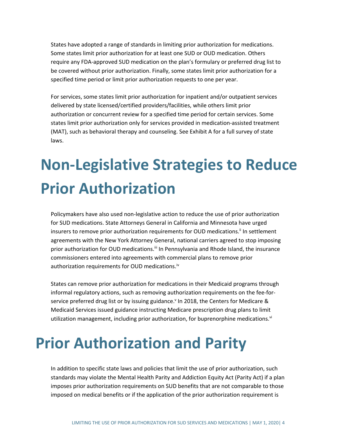States have adopted a range of standards in limiting prior authorization for medications. Some states limit prior authorization for at least one SUD or OUD medication. Others require any FDA-approved SUD medication on the plan's formulary or preferred drug list to be covered without prior authorization. Finally, some states limit prior authorization for a specified time period or limit prior authorization requests to one per year.

For services, some states limit prior authorization for inpatient and/or outpatient services delivered by state licensed/certified providers/facilities, while others limit prior authorization or concurrent review for a specified time period for certain services. Some states limit prior authorization only for services provided in medication-assisted treatment (MAT), such as behavioral therapy and counseling. See Exhibit A for a full survey of state laws.

# **Non-Legislative Strategies to Reduce Prior Authorization**

Policymakers have also used non-legislative action to reduce the use of prior authorization for SUD medications. State Attorneys General in California and Minnesota have urged insurers to remove prior authorization requirements for OUD medications.<sup>ii</sup> In settlement agreements with the New York Attorney General, national carriers agreed to stop imposing prior authorization for OUD medications.<sup>iii</sup> In Pennsylvania and Rhode Island, the insurance commissioners entered into agreements with commercial plans to remove prior authorization requirements for OUD medications.<sup>iv</sup>

States can remove prior authorization for medications in their Medicaid programs through informal regulatory actions, such as removing authorization requirements on the fee-forservice preferred drug list or by issuing guidance.<sup> $V$ </sup> In 2018, the Centers for Medicare & Medicaid Services issued guidance instructing Medicare prescription drug plans to limit utilization management, including prior authorization, for buprenorphine medications. $v^i$ 

## **Prior Authorization and Parity**

In addition to specific state laws and policies that limit the use of prior authorization, such standards may violate the Mental Health Parity and Addiction Equity Act (Parity Act) if a plan imposes prior authorization requirements on SUD benefits that are not comparable to those imposed on medical benefits or if the application of the prior authorization requirement is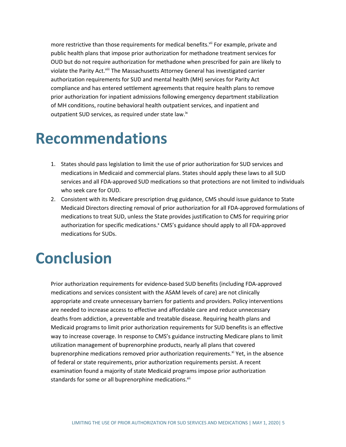more restrictive than those requirements for medical benefits.<sup>vii</sup> For example, private and public health plans that impose prior authorization for methadone treatment services for OUD but do not require authorization for methadone when prescribed for pain are likely to violate the Parity Act.<sup>viii</sup> The Massachusetts Attorney General has investigated carrier authorization requirements for SUD and mental health (MH) services for Parity Act compliance and has entered settlement agreements that require health plans to remove prior authorization for inpatient admissions following emergency department stabilization of MH conditions, routine behavioral health outpatient services, and inpatient and outpatient SUD services, as required under state law.<sup>ix</sup>

## **Recommendations**

- 1. States should pass legislation to limit the use of prior authorization for SUD services and medications in Medicaid and commercial plans. States should apply these laws to all SUD services and all FDA-approved SUD medications so that protections are not limited to individuals who seek care for OUD.
- 2. Consistent with its Medicare prescription drug guidance, CMS should issue guidance to State Medicaid Directors directing removal of prior authorization for all FDA-approved formulations of medications to treat SUD, unless the State provides justification to CMS for requiring prior authorization for specific medications.<sup>x</sup> CMS's guidance should apply to all FDA-approved medications for SUDs.

## **Conclusion**

Prior authorization requirements for evidence-based SUD benefits (including FDA-approved medications and services consistent with the ASAM levels of care) are not clinically appropriate and create unnecessary barriers for patients and providers. Policy interventions are needed to increase access to effective and affordable care and reduce unnecessary deaths from addiction, a preventable and treatable disease. Requiring health plans and Medicaid programs to limit prior authorization requirements for SUD benefits is an effective way to increase coverage. In response to CMS's guidance instructing Medicare plans to limit utilization management of buprenorphine products, nearly all plans that covered buprenorphine medications removed prior authorization requirements.<sup>xi</sup> Yet, in the absence of federal or state requirements, prior authorization requirements persist. A recent examination found a majority of state Medicaid programs impose prior authorization standards for some or all buprenorphine medications.<sup>xii</sup>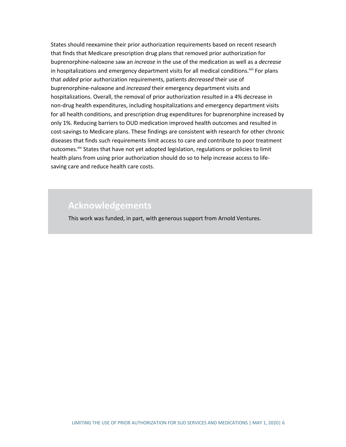States should reexamine their prior authorization requirements based on recent research that finds that Medicare prescription drug plans that removed prior authorization for buprenorphine-naloxone saw an *increase* in the use of the medication as well as a *decrease* in hospitalizations and emergency department visits for all medical conditions.<sup>xiii</sup> For plans that *added* prior authorization requirements, patients *decreased* their use of buprenorphine-naloxone and *increased* their emergency department visits and hospitalizations. Overall, the removal of prior authorization resulted in a 4% decrease in non-drug health expenditures, including hospitalizations and emergency department visits for all health conditions, and prescription drug expenditures for buprenorphine increased by only 1%. Reducing barriers to OUD medication improved health outcomes and resulted in cost-savings to Medicare plans. These findings are consistent with research for other chronic diseases that finds such requirements limit access to care and contribute to poor treatment outcomes.<sup>xiv</sup> States that have not yet adopted legislation, regulations or policies to limit health plans from using prior authorization should do so to help increase access to lifesaving care and reduce health care costs.

### **Acknowledgements**

This work was funded, in part, with generous support from Arnold Ventures.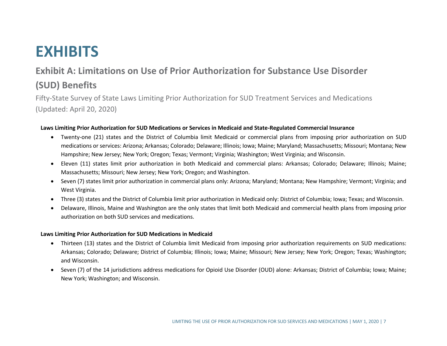## **EXHIBITS**

### **Exhibit A: Limitations on Use of Prior Authorization for Substance Use Disorder (SUD) Benefits**

Fifty-State Survey of State Laws Limiting Prior Authorization for SUD Treatment Services and Medications (Updated: April 20, 2020)

### **Laws Limiting Prior Authorization for SUD Medications or Services in Medicaid and State-Regulated Commercial Insurance**

- Twenty-one (21) states and the District of Columbia limit Medicaid or commercial plans from imposing prior authorization on SUD medications or services: Arizona; Arkansas; Colorado; Delaware; Illinois; Iowa; Maine; Maryland; Massachusetts; Missouri; Montana; New Hampshire; New Jersey; New York; Oregon; Texas; Vermont; Virginia; Washington; West Virginia; and Wisconsin.
- Eleven (11) states limit prior authorization in both Medicaid and commercial plans: Arkansas; Colorado; Delaware; Illinois; Maine; Massachusetts; Missouri; New Jersey; New York; Oregon; and Washington.
- Seven (7) states limit prior authorization in commercial plans only: Arizona; Maryland; Montana; New Hampshire; Vermont; Virginia; and West Virginia.
- Three (3) states and the District of Columbia limit prior authorization in Medicaid only: District of Columbia; Iowa; Texas; and Wisconsin.
- Delaware, Illinois, Maine and Washington are the only states that limit both Medicaid and commercial health plans from imposing prior authorization on both SUD services and medications.

### **Laws Limiting Prior Authorization for SUD Medications in Medicaid**

- Thirteen (13) states and the District of Columbia limit Medicaid from imposing prior authorization requirements on SUD medications: Arkansas; Colorado; Delaware; District of Columbia; Illinois; Iowa; Maine; Missouri; New Jersey; New York; Oregon; Texas; Washington; and Wisconsin.
- Seven (7) of the 14 jurisdictions address medications for Opioid Use Disorder (OUD) alone: Arkansas; District of Columbia; Iowa; Maine; New York; Washington; and Wisconsin.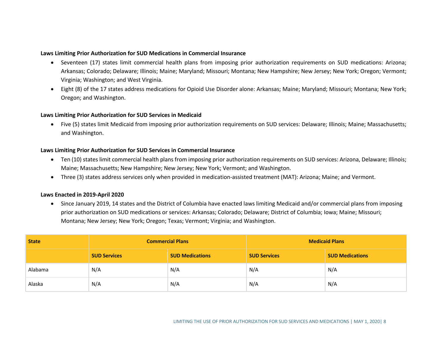### **Laws Limiting Prior Authorization for SUD Medications in Commercial Insurance**

- Seventeen (17) states limit commercial health plans from imposing prior authorization requirements on SUD medications: Arizona; Arkansas; Colorado; Delaware; Illinois; Maine; Maryland; Missouri; Montana; New Hampshire; New Jersey; New York; Oregon; Vermont; Virginia; Washington; and West Virginia.
- Eight (8) of the 17 states address medications for Opioid Use Disorder alone: Arkansas; Maine; Maryland; Missouri; Montana; New York; Oregon; and Washington.

### **Laws Limiting Prior Authorization for SUD Services in Medicaid**

• Five (5) states limit Medicaid from imposing prior authorization requirements on SUD services: Delaware; Illinois; Maine; Massachusetts; and Washington.

### **Laws Limiting Prior Authorization for SUD Services in Commercial Insurance**

- Ten (10) states limit commercial health plans from imposing prior authorization requirements on SUD services: Arizona, Delaware; Illinois; Maine; Massachusetts; New Hampshire; New Jersey; New York; Vermont; and Washington.
- Three (3) states address services only when provided in medication-assisted treatment (MAT): Arizona; Maine; and Vermont.

### **Laws Enacted in 2019-April 2020**

• Since January 2019, 14 states and the District of Columbia have enacted laws limiting Medicaid and/or commercial plans from imposing prior authorization on SUD medications or services: Arkansas; Colorado; Delaware; District of Columbia; Iowa; Maine; Missouri; Montana; New Jersey; New York; Oregon; Texas; Vermont; Virginia; and Washington.

| <b>State</b> | <b>Commercial Plans</b> |                        | <b>Medicaid Plans</b> |                        |
|--------------|-------------------------|------------------------|-----------------------|------------------------|
|              | <b>SUD Services</b>     | <b>SUD Medications</b> | <b>SUD Services</b>   | <b>SUD Medications</b> |
| Alabama      | N/A                     | N/A                    | N/A                   | N/A                    |
| Alaska       | N/A                     | N/A                    | N/A                   | N/A                    |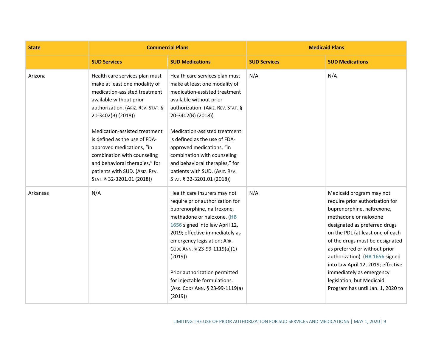| <b>State</b> |                                                                                                                                                                                                                                                                                                                                                                                                                         | <b>Commercial Plans</b>                                                                                                                                                                                                                                                                                                                                                                                                 | <b>Medicaid Plans</b> |                                                                                                                                                                                                                                                                                                                                                                                                                                    |
|--------------|-------------------------------------------------------------------------------------------------------------------------------------------------------------------------------------------------------------------------------------------------------------------------------------------------------------------------------------------------------------------------------------------------------------------------|-------------------------------------------------------------------------------------------------------------------------------------------------------------------------------------------------------------------------------------------------------------------------------------------------------------------------------------------------------------------------------------------------------------------------|-----------------------|------------------------------------------------------------------------------------------------------------------------------------------------------------------------------------------------------------------------------------------------------------------------------------------------------------------------------------------------------------------------------------------------------------------------------------|
|              | <b>SUD Services</b>                                                                                                                                                                                                                                                                                                                                                                                                     | <b>SUD Medications</b>                                                                                                                                                                                                                                                                                                                                                                                                  | <b>SUD Services</b>   | <b>SUD Medications</b>                                                                                                                                                                                                                                                                                                                                                                                                             |
| Arizona      | Health care services plan must<br>make at least one modality of<br>medication-assisted treatment<br>available without prior<br>authorization. (ARIZ. REV. STAT. §<br>20-3402(B) (2018))<br>Medication-assisted treatment<br>is defined as the use of FDA-<br>approved medications, "in<br>combination with counseling<br>and behavioral therapies," for<br>patients with SUD. (ARIZ. REV.<br>STAT. § 32-3201.01 (2018)) | Health care services plan must<br>make at least one modality of<br>medication-assisted treatment<br>available without prior<br>authorization. (ARIZ. REV. STAT. §<br>20-3402(B) (2018))<br>Medication-assisted treatment<br>is defined as the use of FDA-<br>approved medications, "in<br>combination with counseling<br>and behavioral therapies," for<br>patients with SUD. (ARIZ. REV.<br>STAT. § 32-3201.01 (2018)) | N/A                   | N/A                                                                                                                                                                                                                                                                                                                                                                                                                                |
| Arkansas     | N/A                                                                                                                                                                                                                                                                                                                                                                                                                     | Health care insurers may not<br>require prior authorization for<br>buprenorphine, naltrexone,<br>methadone or naloxone. (HB<br>1656 signed into law April 12,<br>2019; effective immediately as<br>emergency legislation; ARK.<br>CODE ANN. § 23-99-1119(a)(1)<br>(2019)<br>Prior authorization permitted<br>for injectable formulations.<br>(ARK. CODE ANN. § 23-99-1119(a)<br>(2019)                                  | N/A                   | Medicaid program may not<br>require prior authorization for<br>buprenorphine, naltrexone,<br>methadone or naloxone<br>designated as preferred drugs<br>on the PDL (at least one of each<br>of the drugs must be designated<br>as preferred or without prior<br>authorization). (HB 1656 signed<br>into law April 12, 2019; effective<br>immediately as emergency<br>legislation, but Medicaid<br>Program has until Jan. 1, 2020 to |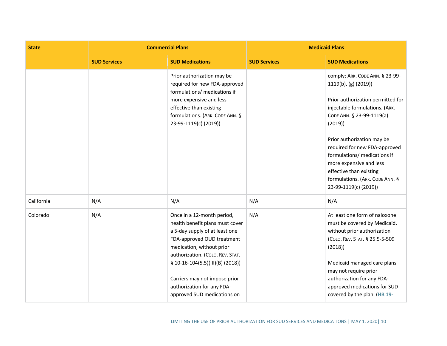| <b>State</b> |                     | <b>Commercial Plans</b>                                                                                                                                                                                                                                                                                                            | <b>Medicaid Plans</b> |                                                                                                                                                                                                                                                                                                                                                                                        |
|--------------|---------------------|------------------------------------------------------------------------------------------------------------------------------------------------------------------------------------------------------------------------------------------------------------------------------------------------------------------------------------|-----------------------|----------------------------------------------------------------------------------------------------------------------------------------------------------------------------------------------------------------------------------------------------------------------------------------------------------------------------------------------------------------------------------------|
|              | <b>SUD Services</b> | <b>SUD Medications</b>                                                                                                                                                                                                                                                                                                             | <b>SUD Services</b>   | <b>SUD Medications</b>                                                                                                                                                                                                                                                                                                                                                                 |
|              |                     | Prior authorization may be<br>required for new FDA-approved<br>formulations/ medications if<br>more expensive and less<br>effective than existing<br>formulations. (ARK. CODE ANN. §<br>23-99-1119(c) (2019))                                                                                                                      |                       | comply; ARK. CODE ANN. § 23-99-<br>1119(b), (g) (2019))<br>Prior authorization permitted for<br>injectable formulations. (ARK.<br>CODE ANN. § 23-99-1119(a)<br>(2019)<br>Prior authorization may be<br>required for new FDA-approved<br>formulations/ medications if<br>more expensive and less<br>effective than existing<br>formulations. (ARK. CODE ANN. §<br>23-99-1119(c) (2019)) |
| California   | N/A                 | N/A                                                                                                                                                                                                                                                                                                                                | N/A                   | N/A                                                                                                                                                                                                                                                                                                                                                                                    |
| Colorado     | N/A                 | Once in a 12-month period,<br>health benefit plans must cover<br>a 5-day supply of at least one<br>FDA-approved OUD treatment<br>medication, without prior<br>authorization. (COLO. REV. STAT.<br>$$ 10-16-104(5.5)(III)(B) (2018))$<br>Carriers may not impose prior<br>authorization for any FDA-<br>approved SUD medications on | N/A                   | At least one form of naloxone<br>must be covered by Medicaid,<br>without prior authorization<br>(COLO. REV. STAT. § 25.5-5-509<br>(2018)<br>Medicaid managed care plans<br>may not require prior<br>authorization for any FDA-<br>approved medications for SUD<br>covered by the plan. (HB 19-                                                                                         |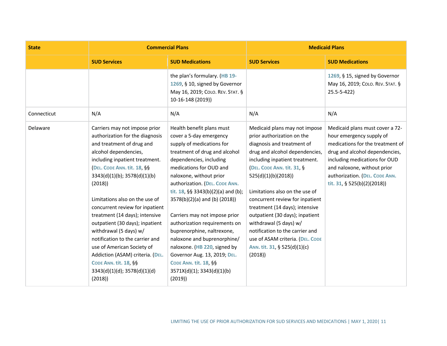| <b>State</b> | <b>Commercial Plans</b>                                                                                                                                                                                                                                                                                                                                                                                                                                                                                                                                                              |                                                                                                                                                                                                                                                                                                                                                                                                                                                                                                                                                                                       | <b>Medicaid Plans</b>                                                                                                                                                                                                                                                                                                                                                                                                                                                                                   |                                                                                                                                                                                                                                                                    |
|--------------|--------------------------------------------------------------------------------------------------------------------------------------------------------------------------------------------------------------------------------------------------------------------------------------------------------------------------------------------------------------------------------------------------------------------------------------------------------------------------------------------------------------------------------------------------------------------------------------|---------------------------------------------------------------------------------------------------------------------------------------------------------------------------------------------------------------------------------------------------------------------------------------------------------------------------------------------------------------------------------------------------------------------------------------------------------------------------------------------------------------------------------------------------------------------------------------|---------------------------------------------------------------------------------------------------------------------------------------------------------------------------------------------------------------------------------------------------------------------------------------------------------------------------------------------------------------------------------------------------------------------------------------------------------------------------------------------------------|--------------------------------------------------------------------------------------------------------------------------------------------------------------------------------------------------------------------------------------------------------------------|
|              | <b>SUD Services</b>                                                                                                                                                                                                                                                                                                                                                                                                                                                                                                                                                                  | <b>SUD Medications</b>                                                                                                                                                                                                                                                                                                                                                                                                                                                                                                                                                                | <b>SUD Services</b>                                                                                                                                                                                                                                                                                                                                                                                                                                                                                     | <b>SUD Medications</b>                                                                                                                                                                                                                                             |
|              |                                                                                                                                                                                                                                                                                                                                                                                                                                                                                                                                                                                      | the plan's formulary. (HB 19-<br>1269, § 10, signed by Governor<br>May 16, 2019; COLO. REV. STAT. §<br>10-16-148 (2019))                                                                                                                                                                                                                                                                                                                                                                                                                                                              |                                                                                                                                                                                                                                                                                                                                                                                                                                                                                                         | 1269, § 15, signed by Governor<br>May 16, 2019; COLO. REV. STAT. §<br>$25.5 - 5 - 422$                                                                                                                                                                             |
| Connecticut  | N/A                                                                                                                                                                                                                                                                                                                                                                                                                                                                                                                                                                                  | N/A                                                                                                                                                                                                                                                                                                                                                                                                                                                                                                                                                                                   | N/A                                                                                                                                                                                                                                                                                                                                                                                                                                                                                                     | N/A                                                                                                                                                                                                                                                                |
| Delaware     | Carriers may not impose prior<br>authorization for the diagnosis<br>and treatment of drug and<br>alcohol dependencies,<br>including inpatient treatment.<br>(DEL. CODE ANN. tit. 18, §§<br>3343(d)(1)(b); 3578(d)(1)(b)<br>(2018)<br>Limitations also on the use of<br>concurrent review for inpatient<br>treatment (14 days); intensive<br>outpatient (30 days); inpatient<br>withdrawal (5 days) w/<br>notification to the carrier and<br>use of American Society of<br>Addiction (ASAM) criteria. (DEL.<br><b>CODE ANN. tit. 18, §§</b><br>3343(d)(1)(d); 3578(d)(1)(d)<br>(2018) | Health benefit plans must<br>cover a 5-day emergency<br>supply of medications for<br>treatment of drug and alcohol<br>dependencies, including<br>medications for OUD and<br>naloxone, without prior<br>authorization. (DEL. CODE ANN.<br>tit. 18, §§ 3343(b)(2)(a) and (b);<br>$3578(b)(2)(a)$ and (b) (2018))<br>Carriers may not impose prior<br>authorization requirements on<br>buprenorphine, naltrexone,<br>naloxone and buprenorphine/<br>naloxone. (HB 220, signed by<br>Governor Aug. 13, 2019; DEL.<br><b>CODE ANN. tit. 18, §§</b><br>3571X(d)(1); 3343(d)(1)(b)<br>(2019) | Medicaid plans may not impose<br>prior authorization on the<br>diagnosis and treatment of<br>drug and alcohol dependencies,<br>including inpatient treatment.<br>(DEL. CODE ANN. tit. 31, §<br>525(d)(1)(b)(2018))<br>Limitations also on the use of<br>concurrent review for inpatient<br>treatment (14 days); intensive<br>outpatient (30 days); inpatient<br>withdrawal (5 days) w/<br>notification to the carrier and<br>use of ASAM criteria. (DEL. CODE<br>Ann. tit. 31, § 525(d)(1)(c)<br>(2018) | Medicaid plans must cover a 72-<br>hour emergency supply of<br>medications for the treatment of<br>drug and alcohol dependencies,<br>including medications for OUD<br>and naloxone, without prior<br>authorization. (DEL. CODE ANN.<br>tit. 31, § 525(b)(2)(2018)) |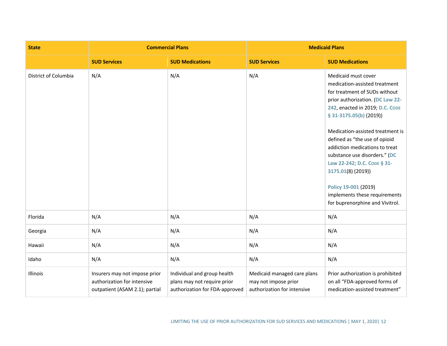| <b>State</b>         |                                                                                                | <b>Commercial Plans</b>                                                                      | <b>Medicaid Plans</b>                                                              |                                                                                                                                                                                                                                                                                                                                                                                                                                                                                  |
|----------------------|------------------------------------------------------------------------------------------------|----------------------------------------------------------------------------------------------|------------------------------------------------------------------------------------|----------------------------------------------------------------------------------------------------------------------------------------------------------------------------------------------------------------------------------------------------------------------------------------------------------------------------------------------------------------------------------------------------------------------------------------------------------------------------------|
|                      | <b>SUD Services</b>                                                                            | <b>SUD Medications</b>                                                                       | <b>SUD Services</b>                                                                | <b>SUD Medications</b>                                                                                                                                                                                                                                                                                                                                                                                                                                                           |
| District of Columbia | N/A                                                                                            | N/A                                                                                          | N/A                                                                                | Medicaid must cover<br>medication-assisted treatment<br>for treatment of SUDs without<br>prior authorization. (DC Law 22-<br>242, enacted in 2019; D.C. CODE<br>$$31-3175.05(b) (2019)$<br>Medication-assisted treatment is<br>defined as "the use of opioid<br>addiction medications to treat<br>substance use disorders." (DC<br>Law 22-242; D.C. CODE § 31-<br>3175.01(8) (2019))<br>Policy 19-001 (2019)<br>implements these requirements<br>for buprenorphine and Vivitrol. |
| Florida              | N/A                                                                                            | N/A                                                                                          | N/A                                                                                | N/A                                                                                                                                                                                                                                                                                                                                                                                                                                                                              |
| Georgia              | N/A                                                                                            | N/A                                                                                          | N/A                                                                                | N/A                                                                                                                                                                                                                                                                                                                                                                                                                                                                              |
| Hawaii               | N/A                                                                                            | N/A                                                                                          | N/A                                                                                | N/A                                                                                                                                                                                                                                                                                                                                                                                                                                                                              |
| Idaho                | N/A                                                                                            | N/A                                                                                          | N/A                                                                                | N/A                                                                                                                                                                                                                                                                                                                                                                                                                                                                              |
| Illinois             | Insurers may not impose prior<br>authorization for intensive<br>outpatient (ASAM 2.1); partial | Individual and group health<br>plans may not require prior<br>authorization for FDA-approved | Medicaid managed care plans<br>may not impose prior<br>authorization for intensive | Prior authorization is prohibited<br>on all "FDA-approved forms of<br>medication-assisted treatment"                                                                                                                                                                                                                                                                                                                                                                             |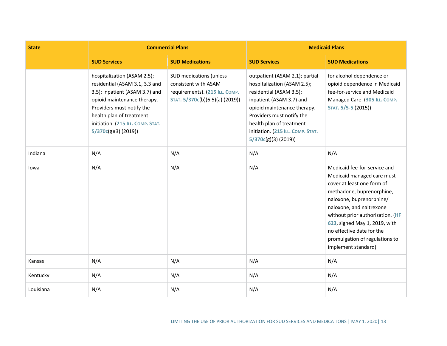| <b>State</b> | <b>Commercial Plans</b>                                                                                                                                                                                                                                |                                                                                                                      | <b>Medicaid Plans</b>                                                                                                                                                                                                                                                       |                                                                                                                                                                                                                                                                                                                                          |
|--------------|--------------------------------------------------------------------------------------------------------------------------------------------------------------------------------------------------------------------------------------------------------|----------------------------------------------------------------------------------------------------------------------|-----------------------------------------------------------------------------------------------------------------------------------------------------------------------------------------------------------------------------------------------------------------------------|------------------------------------------------------------------------------------------------------------------------------------------------------------------------------------------------------------------------------------------------------------------------------------------------------------------------------------------|
|              | <b>SUD Services</b>                                                                                                                                                                                                                                    | <b>SUD Medications</b>                                                                                               | <b>SUD Services</b>                                                                                                                                                                                                                                                         | <b>SUD Medications</b>                                                                                                                                                                                                                                                                                                                   |
|              | hospitalization (ASAM 2.5);<br>residential (ASAM 3.1, 3.3 and<br>3.5); inpatient (ASAM 3.7) and<br>opioid maintenance therapy.<br>Providers must notify the<br>health plan of treatment<br>initiation. (215 ILL. COMP. STAT.<br>$5/370c(g)(3)$ (2019)) | SUD medications (unless<br>consistent with ASAM<br>requirements). (215 ILL. COMP.<br>STAT. 5/370c(b)(6.5)(a) (2019)) | outpatient (ASAM 2.1); partial<br>hospitalization (ASAM 2.5);<br>residential (ASAM 3.5);<br>inpatient (ASAM 3.7) and<br>opioid maintenance therapy.<br>Providers must notify the<br>health plan of treatment<br>initiation. (215 ILL. COMP. STAT.<br>$5/370c(g)(3)$ (2019)) | for alcohol dependence or<br>opioid dependence in Medicaid<br>fee-for-service and Medicaid<br>Managed Care. (305 ILL. COMP.<br>STAT. 5/5-5 (2015))                                                                                                                                                                                       |
| Indiana      | N/A                                                                                                                                                                                                                                                    | N/A                                                                                                                  | N/A                                                                                                                                                                                                                                                                         | N/A                                                                                                                                                                                                                                                                                                                                      |
| lowa         | N/A                                                                                                                                                                                                                                                    | N/A                                                                                                                  | N/A                                                                                                                                                                                                                                                                         | Medicaid fee-for-service and<br>Medicaid managed care must<br>cover at least one form of<br>methadone, buprenorphine,<br>naloxone, buprenorphine/<br>naloxone, and naltrexone<br>without prior authorization. (HF<br>623, signed May 1, 2019, with<br>no effective date for the<br>promulgation of regulations to<br>implement standard) |
| Kansas       | N/A                                                                                                                                                                                                                                                    | N/A                                                                                                                  | N/A                                                                                                                                                                                                                                                                         | N/A                                                                                                                                                                                                                                                                                                                                      |
| Kentucky     | N/A                                                                                                                                                                                                                                                    | N/A                                                                                                                  | N/A                                                                                                                                                                                                                                                                         | N/A                                                                                                                                                                                                                                                                                                                                      |
| Louisiana    | N/A                                                                                                                                                                                                                                                    | N/A                                                                                                                  | N/A                                                                                                                                                                                                                                                                         | N/A                                                                                                                                                                                                                                                                                                                                      |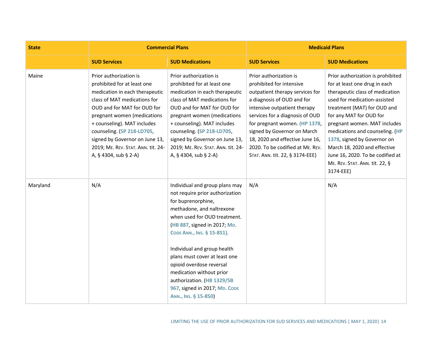| <b>State</b> | <b>Commercial Plans</b>                                                                                                                                                                                                                                                                                                                             |                                                                                                                                                                                                                                                                                                                                                                                                                                   | <b>Medicaid Plans</b>                                                                                                                                                                                                                                                                                                                                            |                                                                                                                                                                                                                                                                                                                                                                                                                      |
|--------------|-----------------------------------------------------------------------------------------------------------------------------------------------------------------------------------------------------------------------------------------------------------------------------------------------------------------------------------------------------|-----------------------------------------------------------------------------------------------------------------------------------------------------------------------------------------------------------------------------------------------------------------------------------------------------------------------------------------------------------------------------------------------------------------------------------|------------------------------------------------------------------------------------------------------------------------------------------------------------------------------------------------------------------------------------------------------------------------------------------------------------------------------------------------------------------|----------------------------------------------------------------------------------------------------------------------------------------------------------------------------------------------------------------------------------------------------------------------------------------------------------------------------------------------------------------------------------------------------------------------|
|              | <b>SUD Services</b>                                                                                                                                                                                                                                                                                                                                 | <b>SUD Medications</b>                                                                                                                                                                                                                                                                                                                                                                                                            | <b>SUD Services</b>                                                                                                                                                                                                                                                                                                                                              | <b>SUD Medications</b>                                                                                                                                                                                                                                                                                                                                                                                               |
| Maine        | Prior authorization is<br>prohibited for at least one<br>medication in each therapeutic<br>class of MAT medications for<br>OUD and for MAT for OUD for<br>pregnant women (medications<br>+ counseling). MAT includes<br>counseling. (SP 218-LD705,<br>signed by Governor on June 13,<br>2019; ME. REV. STAT. ANN. tit. 24-<br>A, § 4304, sub § 2-A) | Prior authorization is<br>prohibited for at least one<br>medication in each therapeutic<br>class of MAT medications for<br>OUD and for MAT for OUD for<br>pregnant women (medications<br>+ counseling). MAT includes<br>counseling. (SP 218-LD705,<br>signed by Governor on June 13,<br>2019; ME. REV. STAT. ANN. tit. 24-<br>A, § 4304, sub § 2-A)                                                                               | Prior authorization is<br>prohibited for intensive<br>outpatient therapy services for<br>a diagnosis of OUD and for<br>intensive outpatient therapy<br>services for a diagnosis of OUD<br>for pregnant women. (HP 1378,<br>signed by Governor on March<br>18, 2020 and effective June 16,<br>2020. To be codified at ME. REV.<br>STAT. ANN. tit. 22, § 3174-EEE) | Prior authorization is prohibited<br>for at least one drug in each<br>therapeutic class of medication<br>used for medication-assisted<br>treatment (MAT) for OUD and<br>for any MAT for OUD for<br>pregnant women. MAT includes<br>medications and counseling. (HP<br>1378, signed by Governor on<br>March 18, 2020 and effective<br>June 16, 2020. To be codified at<br>ME. REV. STAT. ANN. tit. 22, §<br>3174-EEE) |
| Maryland     | N/A                                                                                                                                                                                                                                                                                                                                                 | Individual and group plans may<br>not require prior authorization<br>for buprenorphine,<br>methadone, and naltrexone<br>when used for OUD treatment.<br>(HB 887, signed in 2017; MD.<br>CODE ANN., INS. § 15-851).<br>Individual and group health<br>plans must cover at least one<br>opioid overdose reversal<br>medication without prior<br>authorization. (HB 1329/SB<br>967, signed in 2017; MD. CODE<br>ANN., INS. § 15-850) | N/A                                                                                                                                                                                                                                                                                                                                                              | N/A                                                                                                                                                                                                                                                                                                                                                                                                                  |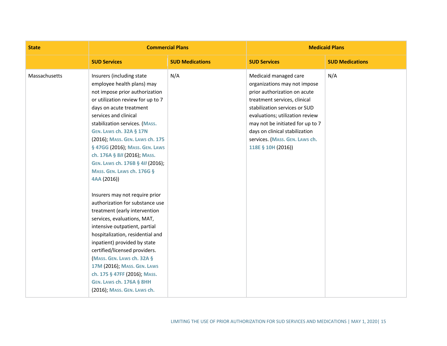| <b>State</b>  | <b>Commercial Plans</b>                                                                                                                                                                                                                                                                                                                                                                                                                                                                                                                                                                                                                                                                                                                                                                                                                                                                      |                        | <b>Medicaid Plans</b>                                                                                                                                                                                                                                                                                                   |                        |
|---------------|----------------------------------------------------------------------------------------------------------------------------------------------------------------------------------------------------------------------------------------------------------------------------------------------------------------------------------------------------------------------------------------------------------------------------------------------------------------------------------------------------------------------------------------------------------------------------------------------------------------------------------------------------------------------------------------------------------------------------------------------------------------------------------------------------------------------------------------------------------------------------------------------|------------------------|-------------------------------------------------------------------------------------------------------------------------------------------------------------------------------------------------------------------------------------------------------------------------------------------------------------------------|------------------------|
|               | <b>SUD Services</b>                                                                                                                                                                                                                                                                                                                                                                                                                                                                                                                                                                                                                                                                                                                                                                                                                                                                          | <b>SUD Medications</b> | <b>SUD Services</b>                                                                                                                                                                                                                                                                                                     | <b>SUD Medications</b> |
| Massachusetts | Insurers (including state<br>employee health plans) may<br>not impose prior authorization<br>or utilization review for up to 7<br>days on acute treatment<br>services and clinical<br>stabilization services. (MASS.<br><b>GEN. LAWS ch. 32A § 17N</b><br>(2016); MASS. GEN. LAWS ch. 175<br>§ 47GG (2016); MASS. GEN. LAWS<br>ch. 176A § 8II (2016); MASS.<br>GEN. LAWS ch. 176B § 4// (2016);<br>MASS. GEN. LAWS ch. 176G §<br>4AA (2016))<br>Insurers may not require prior<br>authorization for substance use<br>treatment (early intervention<br>services, evaluations, MAT,<br>intensive outpatient, partial<br>hospitalization, residential and<br>inpatient) provided by state<br>certified/licensed providers.<br><b>MASS. GEN. LAWS ch. 32A §</b><br>17M (2016); MASS. GEN. LAWS<br>ch. 175 § 47FF (2016); MASS.<br><b>GEN. LAWS ch. 176A § 8HH</b><br>(2016); MASS. GEN. LAWS ch. | N/A                    | Medicaid managed care<br>organizations may not impose<br>prior authorization on acute<br>treatment services, clinical<br>stabilization services or SUD<br>evaluations; utilization review<br>may not be initiated for up to 7<br>days on clinical stabilization<br>services. (MASS. GEN. LAWS ch.<br>118E § 10H (2016)) | N/A                    |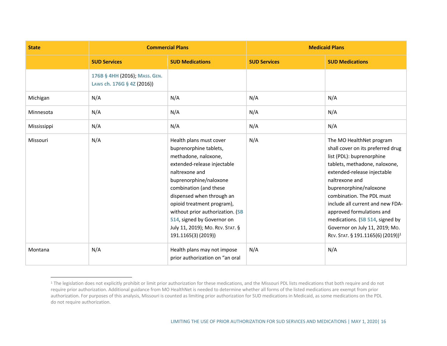| <b>State</b> | <b>Commercial Plans</b>                                     |                                                                                                                                                                                                                                                                                                                                                                       | <b>Medicaid Plans</b> |                                                                                                                                                                                                                                                                                                                                                                                                                            |
|--------------|-------------------------------------------------------------|-----------------------------------------------------------------------------------------------------------------------------------------------------------------------------------------------------------------------------------------------------------------------------------------------------------------------------------------------------------------------|-----------------------|----------------------------------------------------------------------------------------------------------------------------------------------------------------------------------------------------------------------------------------------------------------------------------------------------------------------------------------------------------------------------------------------------------------------------|
|              | <b>SUD Services</b>                                         | <b>SUD Medications</b>                                                                                                                                                                                                                                                                                                                                                | <b>SUD Services</b>   | <b>SUD Medications</b>                                                                                                                                                                                                                                                                                                                                                                                                     |
|              | 176B § 4HH (2016); MASS. GEN.<br>Laws ch. 176G § 4Z (2016)) |                                                                                                                                                                                                                                                                                                                                                                       |                       |                                                                                                                                                                                                                                                                                                                                                                                                                            |
| Michigan     | N/A                                                         | N/A                                                                                                                                                                                                                                                                                                                                                                   | N/A                   | N/A                                                                                                                                                                                                                                                                                                                                                                                                                        |
| Minnesota    | N/A                                                         | N/A                                                                                                                                                                                                                                                                                                                                                                   | N/A                   | N/A                                                                                                                                                                                                                                                                                                                                                                                                                        |
| Mississippi  | N/A                                                         | N/A                                                                                                                                                                                                                                                                                                                                                                   | N/A                   | N/A                                                                                                                                                                                                                                                                                                                                                                                                                        |
| Missouri     | N/A                                                         | Health plans must cover<br>buprenorphine tablets,<br>methadone, naloxone,<br>extended-release injectable<br>naltrexone and<br>buprenorphine/naloxone<br>combination (and these<br>dispensed when through an<br>opioid treatment program),<br>without prior authorization. (SB<br>514, signed by Governor on<br>July 11, 2019); Mo. REV. STAT. §<br>191.1165(3)(2019)) | N/A                   | The MO HealthNet program<br>shall cover on its preferred drug<br>list (PDL): buprenorphine<br>tablets, methadone, naloxone,<br>extended-release injectable<br>naltrexone and<br>buprenorphine/naloxone<br>combination. The PDL must<br>include all current and new FDA-<br>approved formulations and<br>medications. (SB 514, signed by<br>Governor on July 11, 2019; Mo.<br>REV. STAT. § 191.1165(6) (2019)) <sup>1</sup> |
| Montana      | N/A                                                         | Health plans may not impose<br>prior authorization on "an oral                                                                                                                                                                                                                                                                                                        | N/A                   | N/A                                                                                                                                                                                                                                                                                                                                                                                                                        |

<sup>&</sup>lt;sup>1</sup> The legislation does not explicitly prohibit or limit prior authorization for these medications, and the Missouri PDL lists medications that both require and do not require prior authorization. Additional guidance from MO HealthNet is needed to determine whether all forms of the listed medications are exempt from prior authorization. For purposes of this analysis, Missouri is counted as limiting prior authorization for SUD medications in Medicaid, as some medications on the PDL do not require authorization.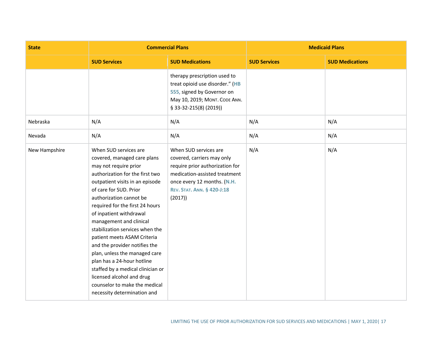| <b>State</b>  | <b>Commercial Plans</b>                                                                                                                                                                                                                                                                                                                                                                                                                                                                                                                                                                               |                                                                                                                                                                                                       | <b>Medicaid Plans</b> |                        |
|---------------|-------------------------------------------------------------------------------------------------------------------------------------------------------------------------------------------------------------------------------------------------------------------------------------------------------------------------------------------------------------------------------------------------------------------------------------------------------------------------------------------------------------------------------------------------------------------------------------------------------|-------------------------------------------------------------------------------------------------------------------------------------------------------------------------------------------------------|-----------------------|------------------------|
|               | <b>SUD Services</b>                                                                                                                                                                                                                                                                                                                                                                                                                                                                                                                                                                                   | <b>SUD Medications</b>                                                                                                                                                                                | <b>SUD Services</b>   | <b>SUD Medications</b> |
|               |                                                                                                                                                                                                                                                                                                                                                                                                                                                                                                                                                                                                       | therapy prescription used to<br>treat opioid use disorder." (HB<br>555, signed by Governor on<br>May 10, 2019; MONT. CODE ANN.<br>§ 33-32-215(8) (2019))                                              |                       |                        |
| Nebraska      | N/A                                                                                                                                                                                                                                                                                                                                                                                                                                                                                                                                                                                                   | N/A                                                                                                                                                                                                   | N/A                   | N/A                    |
| Nevada        | N/A                                                                                                                                                                                                                                                                                                                                                                                                                                                                                                                                                                                                   | N/A                                                                                                                                                                                                   | N/A                   | N/A                    |
| New Hampshire | When SUD services are<br>covered, managed care plans<br>may not require prior<br>authorization for the first two<br>outpatient visits in an episode<br>of care for SUD. Prior<br>authorization cannot be<br>required for the first 24 hours<br>of inpatient withdrawal<br>management and clinical<br>stabilization services when the<br>patient meets ASAM Criteria<br>and the provider notifies the<br>plan, unless the managed care<br>plan has a 24-hour hotline<br>staffed by a medical clinician or<br>licensed alcohol and drug<br>counselor to make the medical<br>necessity determination and | When SUD services are<br>covered, carriers may only<br>require prior authorization for<br>medication-assisted treatment<br>once every 12 months. (N.H.<br><b>REV. STAT. ANN. § 420-J:18</b><br>(2017) | N/A                   | N/A                    |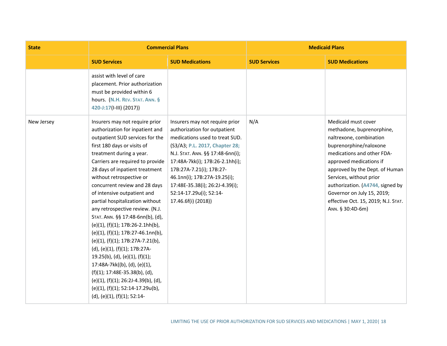| <b>State</b> | <b>Commercial Plans</b>                                                                                                                                                                                                                                                                                                                                                                                                                                                                                                                                                                                                                                                                                                                                                                                           |                                                                                                                                                                                                                                                                                                                                                            | <b>Medicaid Plans</b> |                                                                                                                                                                                                                                                                                                                                                          |
|--------------|-------------------------------------------------------------------------------------------------------------------------------------------------------------------------------------------------------------------------------------------------------------------------------------------------------------------------------------------------------------------------------------------------------------------------------------------------------------------------------------------------------------------------------------------------------------------------------------------------------------------------------------------------------------------------------------------------------------------------------------------------------------------------------------------------------------------|------------------------------------------------------------------------------------------------------------------------------------------------------------------------------------------------------------------------------------------------------------------------------------------------------------------------------------------------------------|-----------------------|----------------------------------------------------------------------------------------------------------------------------------------------------------------------------------------------------------------------------------------------------------------------------------------------------------------------------------------------------------|
|              | <b>SUD Services</b>                                                                                                                                                                                                                                                                                                                                                                                                                                                                                                                                                                                                                                                                                                                                                                                               | <b>SUD Medications</b>                                                                                                                                                                                                                                                                                                                                     | <b>SUD Services</b>   | <b>SUD Medications</b>                                                                                                                                                                                                                                                                                                                                   |
|              | assist with level of care<br>placement. Prior authorization<br>must be provided within 6<br>hours. (N.H. REV. STAT. ANN. §<br>420-J:17(I-III) (2017))                                                                                                                                                                                                                                                                                                                                                                                                                                                                                                                                                                                                                                                             |                                                                                                                                                                                                                                                                                                                                                            |                       |                                                                                                                                                                                                                                                                                                                                                          |
| New Jersey   | Insurers may not require prior<br>authorization for inpatient and<br>outpatient SUD services for the<br>first 180 days or visits of<br>treatment during a year.<br>Carriers are required to provide<br>28 days of inpatient treatment<br>without retrospective or<br>concurrent review and 28 days<br>of intensive outpatient and<br>partial hospitalization without<br>any retrospective review. (N.J.<br>STAT. ANN. §§ 17:48-6nn(b), (d),<br>$(e)(1)$ , $(f)(1)$ ; 17B:26-2.1hh(b),<br>(e)(1), (f)(1); 17B:27-46.1nn(b),<br>(e)(1), (f)(1); 17B:27A-7.21(b),<br>(d), (e)(1), (f)(1); 17B:27A-<br>$19.25(b)$ , (d), (e)(1), (f)(1);<br>17:48A-7kk((b), (d), (e)(1),<br>$(f)(1); 17:48E-35.38(b), (d),$<br>(e)(1), (f)(1); 26:2J-4.39(b), (d),<br>(e)(1), (f)(1); 52:14-17.29u(b),<br>(d), (e)(1), (f)(1); 52:14- | Insurers may not require prior<br>authorization for outpatient<br>medications used to treat SUD.<br>(S3/A3; P.L. 2017, Chapter 28;<br>N.J. STAT. ANN. §§ 17:48-6nn(i);<br>17:48A-7kk(i); 17B:26-2.1hh(i);<br>17B:27A-7.21(i); 17B:27-<br>46.1nn(i); 17B:27A-19.25(i);<br>17:48E-35.38(i); 26:2J-4.39(i);<br>52:14-17.29u(i); 52:14-<br>17.46.6f(i) (2018)) | N/A                   | Medicaid must cover<br>methadone, buprenorphine,<br>naltrexone, combination<br>buprenorphine/naloxone<br>medications and other FDA-<br>approved medications if<br>approved by the Dept. of Human<br>Services, without prior<br>authorization. (A4744, signed by<br>Governor on July 15, 2019;<br>effective Oct. 15, 2019; N.J. STAT.<br>ANN. § 30:4D-6m) |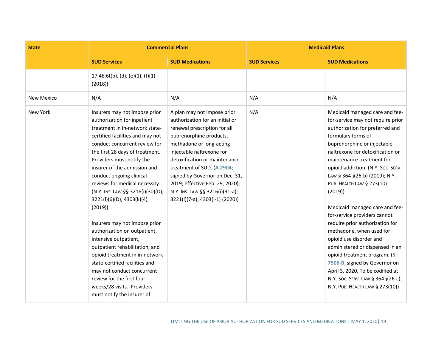| <b>State</b> | <b>Commercial Plans</b>                                                                                                                                                                                                                                                                                                                                                                                                                                                                                                                                                                                                                                                                                                              |                                                                                                                                                                                                                                                                                                                                                                                              | <b>Medicaid Plans</b> |                                                                                                                                                                                                                                                                                                                                                                                                                                                                                                                                                                                                                                                                                                                           |
|--------------|--------------------------------------------------------------------------------------------------------------------------------------------------------------------------------------------------------------------------------------------------------------------------------------------------------------------------------------------------------------------------------------------------------------------------------------------------------------------------------------------------------------------------------------------------------------------------------------------------------------------------------------------------------------------------------------------------------------------------------------|----------------------------------------------------------------------------------------------------------------------------------------------------------------------------------------------------------------------------------------------------------------------------------------------------------------------------------------------------------------------------------------------|-----------------------|---------------------------------------------------------------------------------------------------------------------------------------------------------------------------------------------------------------------------------------------------------------------------------------------------------------------------------------------------------------------------------------------------------------------------------------------------------------------------------------------------------------------------------------------------------------------------------------------------------------------------------------------------------------------------------------------------------------------------|
|              | <b>SUD Services</b>                                                                                                                                                                                                                                                                                                                                                                                                                                                                                                                                                                                                                                                                                                                  | <b>SUD Medications</b>                                                                                                                                                                                                                                                                                                                                                                       | <b>SUD Services</b>   | <b>SUD Medications</b>                                                                                                                                                                                                                                                                                                                                                                                                                                                                                                                                                                                                                                                                                                    |
|              | 17.46.6f(b), (d), (e)(1), (f)(1)<br>(2018)                                                                                                                                                                                                                                                                                                                                                                                                                                                                                                                                                                                                                                                                                           |                                                                                                                                                                                                                                                                                                                                                                                              |                       |                                                                                                                                                                                                                                                                                                                                                                                                                                                                                                                                                                                                                                                                                                                           |
| New Mexico   | N/A                                                                                                                                                                                                                                                                                                                                                                                                                                                                                                                                                                                                                                                                                                                                  | N/A                                                                                                                                                                                                                                                                                                                                                                                          | N/A                   | N/A                                                                                                                                                                                                                                                                                                                                                                                                                                                                                                                                                                                                                                                                                                                       |
| New York     | Insurers may not impose prior<br>authorization for inpatient<br>treatment in in-network state-<br>certified facilities and may not<br>conduct concurrent review for<br>the first 28 days of treatment.<br>Providers must notify the<br>insurer of the admission and<br>conduct ongoing clinical<br>reviews for medical necessity.<br>(N.Y. Ins. Law §§ 3216(i)(30)(D);<br>3221(l)(6)(D); 4303(k)(4)<br>(2019)<br>Insurers may not impose prior<br>authorization on outpatient,<br>intensive outpatient,<br>outpatient rehabilitation, and<br>opioid treatment in in-network<br>state-certified facilities and<br>may not conduct concurrent<br>review for the first four<br>weeks/28 visits. Providers<br>must notify the insurer of | A plan may not impose prior<br>authorization for an initial or<br>renewal prescription for all<br>buprenorphine products,<br>methadone or long-acting<br>injectable naltrexone for<br>detoxification or maintenance<br>treatment of SUD. (A.2904;<br>signed by Governor on Dec. 31,<br>2019; effective Feb. 29, 2020);<br>N.Y. Ins. Law §§ 3216(i)(31-a);<br>3221(l)(7-a); 4303(l-1) (2020)) | N/A                   | Medicaid managed care and fee-<br>for-service may not require prior<br>authorization for preferred and<br>formulary forms of<br>buprenorphine or injectable<br>naltrexone for detoxification or<br>maintenance treatment for<br>opioid addiction. (N.Y. Soc. SERV.<br>Law § 364-j(26-b) (2019); N.Y.<br>PUB. HEALTH LAW § 273(10)<br>(2019)<br>Medicaid managed care and fee-<br>for-service providers cannot<br>require prior authorization for<br>methadone, when used for<br>opioid use disorder and<br>administered or dispensed in an<br>opioid treatment program. (S.<br>7506-B, signed by Governor on<br>April 3, 2020. To be codified at<br>N.Y. Soc. SERV. LAW § 364-j(26-c);<br>N.Y. PUB. HEALTH LAW § 273(10)) |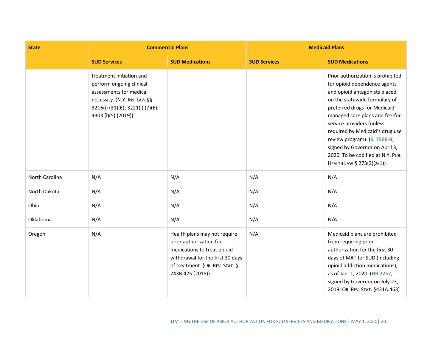| <b>State</b>   | <b>Commercial Plans</b>                                                                                                                                                    |                                                                                                                                                                                   | <b>Medicaid Plans</b> |                                                                                                                                                                                                                                                                                                                                                                                                            |
|----------------|----------------------------------------------------------------------------------------------------------------------------------------------------------------------------|-----------------------------------------------------------------------------------------------------------------------------------------------------------------------------------|-----------------------|------------------------------------------------------------------------------------------------------------------------------------------------------------------------------------------------------------------------------------------------------------------------------------------------------------------------------------------------------------------------------------------------------------|
|                | <b>SUD Services</b>                                                                                                                                                        | <b>SUD Medications</b>                                                                                                                                                            | <b>SUD Services</b>   | <b>SUD Medications</b>                                                                                                                                                                                                                                                                                                                                                                                     |
|                | treatment initiation and<br>perform ongoing clinical<br>assessments for medical<br>necessity. (N.Y. Ins. Law §§<br>3216(i) (31)(E); 3221(l) (7)(E);<br>4303 (I)(5) (2019)) |                                                                                                                                                                                   |                       | Prior authorization is prohibited<br>for opioid dependence agents<br>and opioid antagonists placed<br>on the statewide formulary of<br>preferred drugs for Medicaid<br>managed care plans and fee-for-<br>service providers (unless<br>required by Medicaid's drug use<br>review program). (S. 7506-B,<br>signed by Governor on April 3,<br>2020. To be codified at N.Y. PUB.<br>HEALTH LAW § 273(3)(a-1)) |
| North Carolina | N/A                                                                                                                                                                        | N/A                                                                                                                                                                               | N/A                   | N/A                                                                                                                                                                                                                                                                                                                                                                                                        |
| North Dakota   | N/A                                                                                                                                                                        | N/A                                                                                                                                                                               | N/A                   | N/A                                                                                                                                                                                                                                                                                                                                                                                                        |
| Ohio           | N/A                                                                                                                                                                        | N/A                                                                                                                                                                               | N/A                   | N/A                                                                                                                                                                                                                                                                                                                                                                                                        |
| Oklahoma       | N/A                                                                                                                                                                        | N/A                                                                                                                                                                               | N/A                   | N/A                                                                                                                                                                                                                                                                                                                                                                                                        |
| Oregon         | N/A                                                                                                                                                                        | Health plans may not require<br>prior authorization for<br>medications to treat opioid<br>withdrawal for the first 30 days<br>of treatment. (OR. REV. STAT. §<br>743B.425 (2018)) | N/A                   | Medicaid plans are prohibited<br>from requiring prior<br>authorization for the first 30<br>days of MAT for SUD (including<br>opioid addiction medications),<br>as of Jan. 1, 2020. (HB 2257,<br>signed by Governor on July 23,<br>2019; OR. REV. STAT. §431A.463)                                                                                                                                          |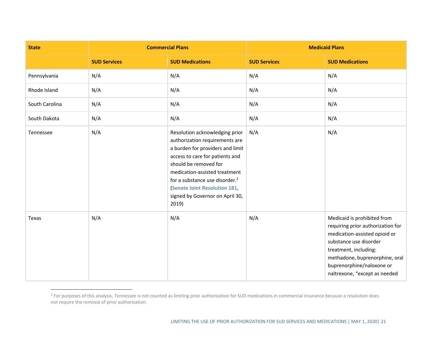| <b>State</b>   | <b>Commercial Plans</b> |                                                                                                                                                                                                                                                                                                                                    | <b>Medicaid Plans</b> |                                                                                                                                                                                                                                                      |
|----------------|-------------------------|------------------------------------------------------------------------------------------------------------------------------------------------------------------------------------------------------------------------------------------------------------------------------------------------------------------------------------|-----------------------|------------------------------------------------------------------------------------------------------------------------------------------------------------------------------------------------------------------------------------------------------|
|                | <b>SUD Services</b>     | <b>SUD Medications</b>                                                                                                                                                                                                                                                                                                             | <b>SUD Services</b>   | <b>SUD Medications</b>                                                                                                                                                                                                                               |
| Pennsylvania   | N/A                     | N/A                                                                                                                                                                                                                                                                                                                                | N/A                   | N/A                                                                                                                                                                                                                                                  |
| Rhode Island   | N/A                     | N/A                                                                                                                                                                                                                                                                                                                                | N/A                   | N/A                                                                                                                                                                                                                                                  |
| South Carolina | N/A                     | N/A                                                                                                                                                                                                                                                                                                                                | N/A                   | N/A                                                                                                                                                                                                                                                  |
| South Dakota   | N/A                     | N/A                                                                                                                                                                                                                                                                                                                                | N/A                   | N/A                                                                                                                                                                                                                                                  |
| Tennessee      | N/A                     | Resolution acknowledging prior<br>authorization requirements are<br>a burden for providers and limit<br>access to care for patients and<br>should be removed for<br>medication-assisted treatment<br>for a substance use disorder. <sup>2</sup><br><b>Senate Joint Resolution 181,</b><br>signed by Governor on April 30,<br>2019) | N/A                   | N/A                                                                                                                                                                                                                                                  |
| Texas          | N/A                     | N/A                                                                                                                                                                                                                                                                                                                                | N/A                   | Medicaid is prohibited from<br>requiring prior authorization for<br>medication-assisted opioid or<br>substance use disorder<br>treatment, including:<br>methadone, buprenorphine, oral<br>buprenorphine/naloxone or<br>naltrexone, "except as needed |

<sup>&</sup>lt;sup>2</sup> For purposes of this analysis, Tennessee is not counted as limiting prior authorization for SUD medications in commercial insurance because a resolution does not require the removal of prior authorization.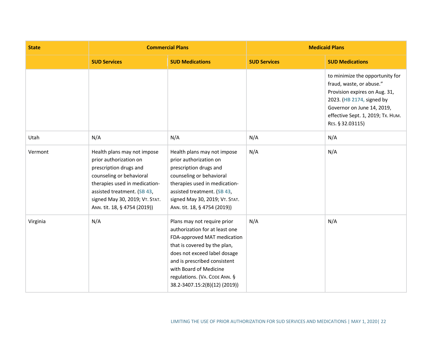| <b>State</b> | <b>Commercial Plans</b>                                                                                                                                                                                                                       |                                                                                                                                                                                                                                                                                         | <b>Medicaid Plans</b> |                                                                                                                                                                                                                  |
|--------------|-----------------------------------------------------------------------------------------------------------------------------------------------------------------------------------------------------------------------------------------------|-----------------------------------------------------------------------------------------------------------------------------------------------------------------------------------------------------------------------------------------------------------------------------------------|-----------------------|------------------------------------------------------------------------------------------------------------------------------------------------------------------------------------------------------------------|
|              | <b>SUD Services</b>                                                                                                                                                                                                                           | <b>SUD Medications</b>                                                                                                                                                                                                                                                                  | <b>SUD Services</b>   | <b>SUD Medications</b>                                                                                                                                                                                           |
|              |                                                                                                                                                                                                                                               |                                                                                                                                                                                                                                                                                         |                       | to minimize the opportunity for<br>fraud, waste, or abuse."<br>Provision expires on Aug. 31,<br>2023. (HB 2174, signed by<br>Governor on June 14, 2019,<br>effective Sept. 1, 2019; Tx. HUM.<br>RES. § 32.03115) |
| Utah         | N/A                                                                                                                                                                                                                                           | N/A                                                                                                                                                                                                                                                                                     | N/A                   | N/A                                                                                                                                                                                                              |
| Vermont      | Health plans may not impose<br>prior authorization on<br>prescription drugs and<br>counseling or behavioral<br>therapies used in medication-<br>assisted treatment. (SB 43,<br>signed May 30, 2019; VT. STAT.<br>ANN. tit. 18, § 4754 (2019)) | Health plans may not impose<br>prior authorization on<br>prescription drugs and<br>counseling or behavioral<br>therapies used in medication-<br>assisted treatment. (SB 43,<br>signed May 30, 2019; VT. STAT.<br>ANN. tit. 18, § 4754 (2019))                                           | N/A                   | N/A                                                                                                                                                                                                              |
| Virginia     | N/A                                                                                                                                                                                                                                           | Plans may not require prior<br>authorization for at least one<br>FDA-approved MAT medication<br>that is covered by the plan,<br>does not exceed label dosage<br>and is prescribed consistent<br>with Board of Medicine<br>regulations. (VA. CODE ANN. §<br>38.2-3407.15:2(B)(12)(2019)) | N/A                   | N/A                                                                                                                                                                                                              |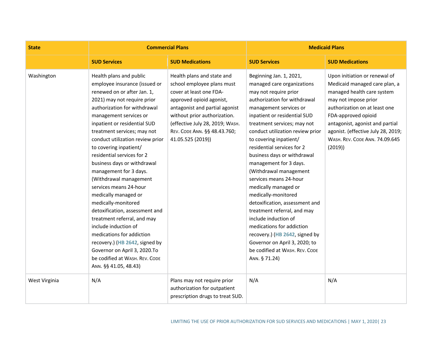| <b>State</b>  | <b>Commercial Plans</b>                                                                                                                                                                                                                                                                                                                                                                                                                                                                                                                                                                                                                                                                                                                                    |                                                                                                                                                                                                                                                                           | <b>Medicaid Plans</b>                                                                                                                                                                                                                                                                                                                                                                                                                                                                                                                                                                                                                                                                                       |                                                                                                                                                                                                                                                                                                   |
|---------------|------------------------------------------------------------------------------------------------------------------------------------------------------------------------------------------------------------------------------------------------------------------------------------------------------------------------------------------------------------------------------------------------------------------------------------------------------------------------------------------------------------------------------------------------------------------------------------------------------------------------------------------------------------------------------------------------------------------------------------------------------------|---------------------------------------------------------------------------------------------------------------------------------------------------------------------------------------------------------------------------------------------------------------------------|-------------------------------------------------------------------------------------------------------------------------------------------------------------------------------------------------------------------------------------------------------------------------------------------------------------------------------------------------------------------------------------------------------------------------------------------------------------------------------------------------------------------------------------------------------------------------------------------------------------------------------------------------------------------------------------------------------------|---------------------------------------------------------------------------------------------------------------------------------------------------------------------------------------------------------------------------------------------------------------------------------------------------|
|               | <b>SUD Services</b>                                                                                                                                                                                                                                                                                                                                                                                                                                                                                                                                                                                                                                                                                                                                        | <b>SUD Medications</b>                                                                                                                                                                                                                                                    | <b>SUD Services</b>                                                                                                                                                                                                                                                                                                                                                                                                                                                                                                                                                                                                                                                                                         | <b>SUD Medications</b>                                                                                                                                                                                                                                                                            |
| Washington    | Health plans and public<br>employee insurance (issued or<br>renewed on or after Jan. 1,<br>2021) may not require prior<br>authorization for withdrawal<br>management services or<br>inpatient or residential SUD<br>treatment services; may not<br>conduct utilization review prior<br>to covering inpatient/<br>residential services for 2<br>business days or withdrawal<br>management for 3 days.<br>(Withdrawal management<br>services means 24-hour<br>medically managed or<br>medically-monitored<br>detoxification, assessment and<br>treatment referral, and may<br>include induction of<br>medications for addiction<br>recovery.) (HB 2642, signed by<br>Governor on April 3, 2020.To<br>be codified at WASH. REV. CODE<br>ANN. §§ 41.05, 48.43) | Health plans and state and<br>school employee plans must<br>cover at least one FDA-<br>approved opioid agonist,<br>antagonist and partial agonist<br>without prior authorization.<br>(effective July 28, 2019; WASH.<br>REV. CODE ANN. §§ 48.43.760;<br>41.05.525 (2019)) | Beginning Jan. 1, 2021,<br>managed care organizations<br>may not require prior<br>authorization for withdrawal<br>management services or<br>inpatient or residential SUD<br>treatment services; may not<br>conduct utilization review prior<br>to covering inpatient/<br>residential services for 2<br>business days or withdrawal<br>management for 3 days.<br>(Withdrawal management<br>services means 24-hour<br>medically managed or<br>medically-monitored<br>detoxification, assessment and<br>treatment referral, and may<br>include induction of<br>medications for addiction<br>recovery.) (HB 2642, signed by<br>Governor on April 3, 2020; to<br>be codified at WASH. REV. CODE<br>ANN. § 71.24) | Upon initiation or renewal of<br>Medicaid managed care plan, a<br>managed health care system<br>may not impose prior<br>authorization on at least one<br>FDA-approved opioid<br>antagonist, agonist and partial<br>agonist. (effective July 28, 2019;<br>WASH. REV. CODE ANN. 74.09.645<br>(2019) |
| West Virginia | N/A                                                                                                                                                                                                                                                                                                                                                                                                                                                                                                                                                                                                                                                                                                                                                        | Plans may not require prior<br>authorization for outpatient<br>prescription drugs to treat SUD.                                                                                                                                                                           | N/A                                                                                                                                                                                                                                                                                                                                                                                                                                                                                                                                                                                                                                                                                                         | N/A                                                                                                                                                                                                                                                                                               |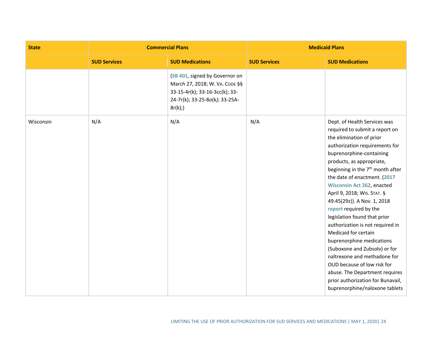| <b>State</b> | <b>Commercial Plans</b> |                                                                                                                                                | <b>Medicaid Plans</b> |                                                                                                                                                                                                                                                                                                                                                                                                                                                                                                                                                                                                                                                                                                                               |
|--------------|-------------------------|------------------------------------------------------------------------------------------------------------------------------------------------|-----------------------|-------------------------------------------------------------------------------------------------------------------------------------------------------------------------------------------------------------------------------------------------------------------------------------------------------------------------------------------------------------------------------------------------------------------------------------------------------------------------------------------------------------------------------------------------------------------------------------------------------------------------------------------------------------------------------------------------------------------------------|
|              | <b>SUD Services</b>     | <b>SUD Medications</b>                                                                                                                         | <b>SUD Services</b>   | <b>SUD Medications</b>                                                                                                                                                                                                                                                                                                                                                                                                                                                                                                                                                                                                                                                                                                        |
|              |                         | (SB 401, signed by Governor on<br>March 27, 2018; W. VA. CODE §§<br>33-15-4r(k); 33-16-3cc(k); 33-<br>24-7r(k); 33-25-8o(k); 33-25A-<br>8r(k); |                       |                                                                                                                                                                                                                                                                                                                                                                                                                                                                                                                                                                                                                                                                                                                               |
| Wisconsin    | N/A                     | N/A                                                                                                                                            | N/A                   | Dept. of Health Services was<br>required to submit a report on<br>the elimination of prior<br>authorization requirements for<br>buprenorphine-containing<br>products, as appropriate,<br>beginning in the 7 <sup>th</sup> month after<br>the date of enactment. (2017<br>Wisconsin Act 262, enacted<br>April 9, 2018; WIS. STAT. §<br>49.45(29z)). A Nov. 1, 2018<br>report required by the<br>legislation found that prior<br>authorization is not required in<br>Medicaid for certain<br>buprenorphine medications<br>(Suboxone and Zubsolv) or for<br>naltrexone and methadone for<br>OUD because of low risk for<br>abuse. The Department requires<br>prior authorization for Bunavail,<br>buprenorphine/naloxone tablets |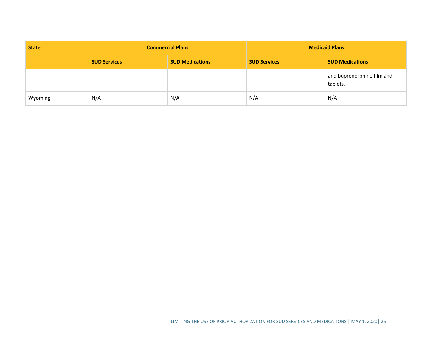| <b>State</b> | <b>Commercial Plans</b> |                        | <b>Medicaid Plans</b> |                                        |
|--------------|-------------------------|------------------------|-----------------------|----------------------------------------|
|              | <b>SUD Services</b>     | <b>SUD Medications</b> | <b>SUD Services</b>   | <b>SUD Medications</b>                 |
|              |                         |                        |                       | and buprenorphine film and<br>tablets. |
| Wyoming      | N/A                     | N/A                    | N/A                   | N/A                                    |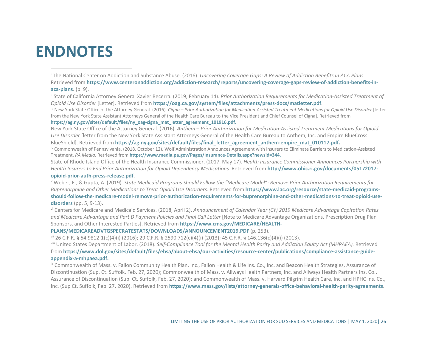## **ENDNOTES**

<sup>i</sup> The National Center on Addiction and Substance Abuse. (2016). *Uncovering Coverage Gaps*: *A Review of Addiction Benefits in ACA Plans*. Retrieved from **https://www.centeronaddiction.org/addiction-research/reports/uncovering-coverage-gaps-review-of-addiction-benefits-inaca-plans**. (p. 9).<br><sup>ii</sup> State of California Attorney General Xavier Becerra. (2019, February 14). *Prior Authorization Requirements for Medication-Assisted Treatment of* 

*Opioid Use Disorder* [Letter]. Retrieved from **https://oag.ca.gov/system/files/attachments/press-docs/matletter.pdf**.

iii New York State Office of the Attorney General. (2016). *Cigna – Prior Authorization for Medication-Assisted Treatment Medications for Opioid Use Disorder* [letter from the New York State Assistant Attorneys General of the Health Care Bureau to the Vice President and Chief Counsel of Cigna]. Retrieved from

**https://ag.ny.gov/sites/default/files/ny\_oag-cigna\_mat\_letter\_agreement\_101916.pdf.**

New York State Office of the Attorney General. (2016). *Anthem – Prior Authorization for Medication-Assisted Treatment Medications for Opioid Use Disorder* [letter from the New York State Assistant Attorneys General of the Health Care Bureau to Anthem, Inc. and Empire BlueCross

BlueShield]. Retrieved from https://ag.ny.gov/sites/default/files/final\_letter\_agreement\_anthem-empire\_mat\_010117.pdf.

iv Commonwealth of Pennsylvania. (2018, October 12). Wolf Administration Announces Agreement with Insurers to Eliminate Barriers to Medication-Assisted Treatment. *PA Media*. Retrieved from **https://www.media.pa.gov/Pages/Insurance-Details.aspx?newsid=344.**

State of Rhode Island Office of the Health Insurance Commissioner. (2017, May 17). *Health Insurance Commissioner Announces Partnership with Health Insurers to End Prior Authorization for Opioid Dependency Medications*. Retrieved from **http://www.ohic.ri.gov/documents/05172017 opioid-prior-auth-press-release.pdf**.

<sup>v</sup> Weber, E., & Gupta, A. (2019). *State Medicaid Programs Should Follow the "Medicare Model": Remove Prior Authorization Requirements for Buprenorphine and Other Medications to Treat Opioid Use Disorders.* Retrieved from **https://www.lac.org/resource/state-medicaid-programsshould-follow-the-medicare-model-remove-prior-authorization-requirements-for-buprenorphine-and-other-medications-to-treat-opioid-usedisorders** (pp. 5, 9-13).

vi Centers for Medicare and Medicaid Services. (2018, April 2). *Announcement of Calendar Year (CY) 2019 Medicare Advantage Capitation Rates and Medicare Advantage and Part D Payment Policies and Final Call Letter* [Note to Medicare Advantage Organizations, Prescription Drug Plan Sponsors, and Other Interested Parties]. Retrieved from **https://www.cms.gov/MEDICARE/HEALTH-**

**PLANS/MEDICAREADVTGSPECRATESTATS/DOWNLOADS/ANNOUNCEMENT2019.PDF** (p. 253).

<sup>vii</sup> 26 C.F.R. § 54.9812-1(c)(4)(i) (2016); 29 C.F.R. § 2590.712(c)(4)(i) (2013); 45 C.F.R. § 146.136(c)(4)(i) (2013).<br><sup>viii</sup> United States Department of Labor. (2018). *Self-Compliance Tool for the Mental Health Parity a* 

from **https://www.dol.gov/sites/default/files/ebsa/about-ebsa/our-activities/resource-center/publications/compliance-assistance-guideappendix-a-mhpaea.pdf.**

<sup>ix</sup> Commonwealth of Mass. v. Fallon Community Health Plan, Inc., Fallon Health & Life Ins. Co., Inc. and Beacon Health Strategies, Assurance of Discontinuation (Sup. Ct. Suffolk, Feb. 27, 2020); Commonwealth of Mass. v. Allways Health Partners, Inc. and Allways Health Partners Ins. Co., Assurance of Discontinuation (Sup. Ct. Suffolk, Feb. 27, 2020); and Commonwealth of Mass. v. Harvard Pilgrim Health Care, Inc. and HPHC Ins. Co., Inc. (Sup Ct. Suffolk, Feb. 27, 2020). Retrieved from **https://www.mass.gov/lists/attorney-generals-office-behavioral-health-parity-agreements**.